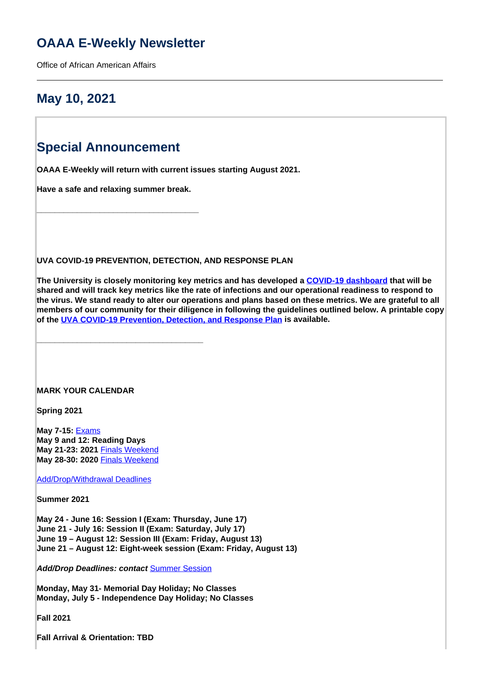## **OAAA E-Weekly Newsletter**

Office of African American Affairs

## **May 10, 2021**

## **Special Announcement**

**OAAA E-Weekly will return with current issues starting August 2021.**

**Have a safe and relaxing summer break.**

**\_\_\_\_\_\_\_\_\_\_\_\_\_\_\_\_\_\_\_\_\_\_\_\_\_\_\_\_\_\_\_\_\_\_\_\_**

**\_\_\_\_\_\_\_\_\_\_\_\_\_\_\_\_\_\_\_\_\_\_\_\_\_\_\_\_\_\_\_\_\_\_\_\_\_**

**UVA COVID-19 PREVENTION, DETECTION, AND RESPONSE PLAN**

**The University is closely monitoring key metrics and has developed a [COVID-19 dashboard](https://returntogrounds.virginia.edu/covid-tracker) that will be shared and will track key metrics like the rate of infections and our operational readiness to respond to the virus. We stand ready to alter our operations and plans based on these metrics. We are grateful to all members of our community for their diligence in following the guidelines outlined below. A printable copy of the UVA COVID-19 Prevention, Detection, and Response Plan is available.**

#### **MARK YOUR CALENDAR**

**Spring 2021**

**May 7-15:** Exams **May 9 and 12: Reading Days May 21-23: 2021** Finals Weekend **May 28-30: 2020** Finals Weekend

Add/Drop/Withdrawal Deadlines

**Summer 2021**

**May 24 - June 16: Session I (Exam: Thursday, June 17) June 21 - July 16: Session II (Exam: Saturday, July 17) June 19 – August 12: Session III (Exam: Friday, August 13) June 21 – August 12: Eight-week session (Exam: Friday, August 13)**

**Add/Drop Deadlines: contact** Summer Session

**Monday, May 31- Memorial Day Holiday; No Classes Monday, July 5 - Independence Day Holiday; No Classes**

**Fall 2021**

**Fall Arrival & Orientation: TBD**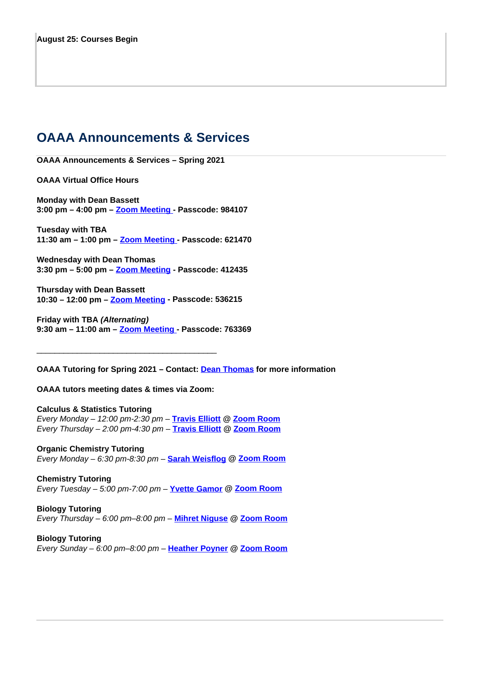## **OAAA Announcements & Services**

**OAAA Announcements & Services – Spring 2021**

**OAAA Virtual Office Hours**

**Monday with Dean Bassett 3:00 pm – 4:00 pm – Zoom Meeting - Passcode: 984107**

**Tuesday with TBA 11:30 am – 1:00 pm – Zoom Meeting - Passcode: 621470**

**Wednesday with Dean Thomas 3:30 pm – 5:00 pm – Zoom Meeting - Passcode: 412435**

**Thursday with Dean Bassett 10:30 – 12:00 pm – Zoom Meeting - Passcode: 536215**

**Friday with TBA (Alternating) 9:30 am – 11:00 am – Zoom Meeting - Passcode: 763369**

**OAAA Tutoring for Spring 2021 – Contact: Dean Thomas for more information**

**OAAA tutors meeting dates & times via Zoom:** 

\_\_\_\_\_\_\_\_\_\_\_\_\_\_\_\_\_\_\_\_\_\_\_\_\_\_\_\_\_\_\_\_\_\_\_\_\_\_\_\_

**Calculus & Statistics Tutoring** Every Monday – 12:00 pm-2:30 pm – **Travis Elliott @ Zoom Room** Every Thursday – 2:00 pm-4:30 pm – **Travis Elliott @ Zoom Room**

**Organic Chemistry Tutoring** Every Monday – 6:30 pm-8:30 pm – **Sarah Weisflog @ Zoom Room**

**Chemistry Tutoring** Every Tuesday – 5:00 pm-7:00 pm – **Yvette Gamor @ Zoom Room**

**Biology Tutoring** Every Thursday – 6:00 pm–8:00 pm – **Mihret Niguse @ Zoom Room**

**Biology Tutoring** Every Sunday – 6:00 pm–8:00 pm – **Heather Poyner @ Zoom Room**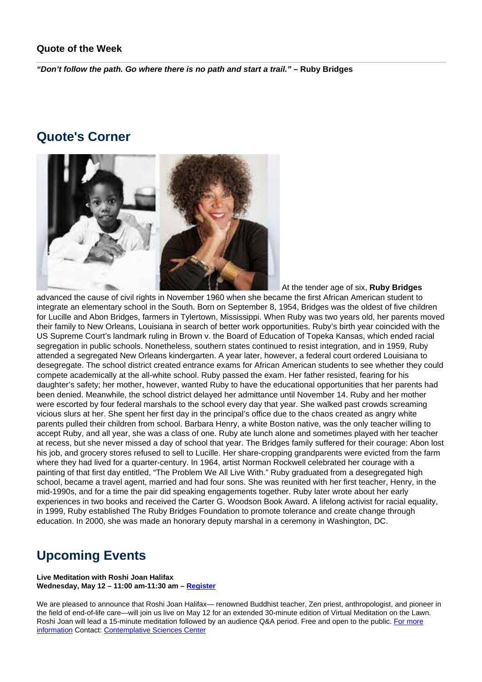### **Quote of the Week**

**"Don't follow the path. Go where there is no path and start a trail." – Ruby Bridges**

### **Quote's Corner**



At the tender age of six, **Ruby Bridges**

advanced the cause of civil rights in November 1960 when she became the first African American student to integrate an elementary school in the South. Born on September 8, 1954, Bridges was the oldest of five children for Lucille and Abon Bridges, farmers in Tylertown, Mississippi. When Ruby was two years old, her parents moved their family to New Orleans, Louisiana in search of better work opportunities. Ruby's birth year coincided with the US Supreme Court's landmark ruling in Brown v. the Board of Education of Topeka Kansas, which ended racial segregation in public schools. Nonetheless, southern states continued to resist integration, and in 1959, Ruby attended a segregated New Orleans kindergarten. A year later, however, a federal court ordered Louisiana to desegregate. The school district created entrance exams for African American students to see whether they could compete academically at the all-white school. Ruby passed the exam. Her father resisted, fearing for his daughter's safety; her mother, however, wanted Ruby to have the educational opportunities that her parents had been denied. Meanwhile, the school district delayed her admittance until November 14. Ruby and her mother were escorted by four federal marshals to the school every day that year. She walked past crowds screaming vicious slurs at her. She spent her first day in the principal's office due to the chaos created as angry white parents pulled their children from school. Barbara Henry, a white Boston native, was the only teacher willing to accept Ruby, and all year, she was a class of one. Ruby ate lunch alone and sometimes played with her teacher at recess, but she never missed a day of school that year. The Bridges family suffered for their courage: Abon lost his job, and grocery stores refused to sell to Lucille. Her share-cropping grandparents were evicted from the farm where they had lived for a quarter-century. In 1964, artist Norman Rockwell celebrated her courage with a painting of that first day entitled, "The Problem We All Live With." Ruby graduated from a desegregated high school, became a travel agent, married and had four sons. She was reunited with her first teacher, Henry, in the mid-1990s, and for a time the pair did speaking engagements together. Ruby later wrote about her early experiences in two books and received the Carter G. Woodson Book Award. A lifelong activist for racial equality, in 1999, Ruby established The Ruby Bridges Foundation to promote tolerance and create change through education. In 2000, she was made an honorary deputy marshal in a ceremony in Washington, DC.

## **Upcoming Events**

#### **Live Meditation with Roshi Joan Halifax Wednesday, May 12 – 11:00 am-11:30 am – Register**

We are pleased to announce that Roshi Joan Halifax— renowned Buddhist teacher, Zen priest, anthropologist, and pioneer in the field of end-of-life care—will join us live on May 12 for an extended 30-minute edition of Virtual Meditation on the Lawn. Roshi Joan will lead a 15-minute meditation followed by an audience Q&A period. Free and open to the public. For more information Contact: Contemplative Sciences Center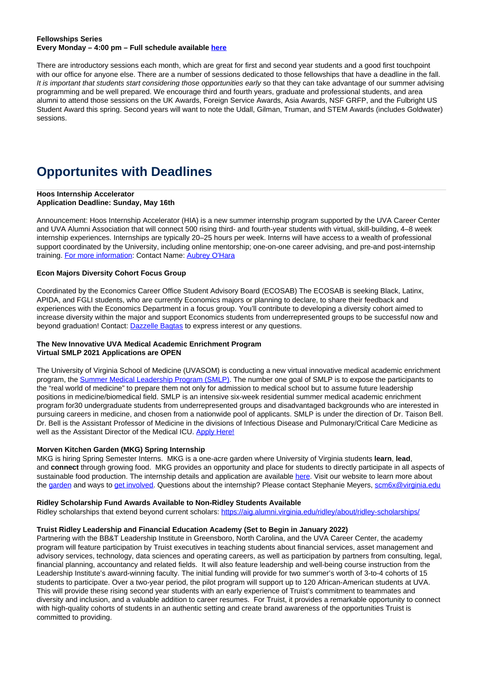#### **Fellowships Series Every Monday – 4:00 pm – Full schedule available here**

There are introductory sessions each month, which are great for first and second year students and a good first touchpoint with our office for anyone else. There are a number of sessions dedicated to those fellowships that have a deadline in the fall. It is important that students start considering those opportunities early so that they can take advantage of our summer advising programming and be well prepared. We encourage third and fourth years, graduate and professional students, and area alumni to attend those sessions on the UK Awards, Foreign Service Awards, Asia Awards, NSF GRFP, and the Fulbright US Student Award this spring. Second years will want to note the Udall, Gilman, Truman, and STEM Awards (includes Goldwater) sessions.

# **Opportunites with Deadlines**

#### **Hoos Internship Accelerator Application Deadline: Sunday, May 16th**

Announcement: Hoos Internship Accelerator (HIA) is a new summer internship program supported by the UVA Career Center and UVA Alumni Association that will connect 500 rising third- and fourth-year students with virtual, skill-building, 4–8 week internship experiences. Internships are typically 20–25 hours per week. Interns will have access to a wealth of professional support coordinated by the University, including online mentorship; one-on-one career advising, and pre-and post-internship training. For more information: Contact Name: Aubrey O'Hara

#### **Econ Majors Diversity Cohort Focus Group**

Coordinated by the Economics Career Office Student Advisory Board (ECOSAB) The ECOSAB is seeking Black, Latinx, APIDA, and FGLI students, who are currently Economics majors or planning to declare, to share their feedback and experiences with the Economics Department in a focus group. You'll contribute to developing a diversity cohort aimed to increase diversity within the major and support Economics students from underrepresented groups to be successful now and beyond graduation! Contact: Dazzelle Bagtas to express interest or any questions.

#### **The New Innovative UVA Medical Academic Enrichment Program Virtual SMLP 2021 Applications are OPEN**

The University of Virginia School of Medicine (UVASOM) is conducting a new virtual innovative medical academic enrichment program, the Summer Medical Leadership Program (SMLP). The number one goal of SMLP is to expose the participants to the "real world of medicine" to prepare them not only for admission to medical school but to assume future leadership positions in medicine/biomedical field. SMLP is an intensive six-week residential summer medical academic enrichment program for30 undergraduate students from underrepresented groups and disadvantaged backgrounds who are interested in pursuing careers in medicine, and chosen from a nationwide pool of applicants. SMLP is under the direction of Dr. Taison Bell. Dr. Bell is the Assistant Professor of Medicine in the divisions of Infectious Disease and Pulmonary/Critical Care Medicine as well as the Assistant Director of the Medical ICU. Apply Here!

#### **Morven Kitchen Garden (MKG) Spring Internship**

MKG is hiring Spring Semester Interns. MKG is a one-acre garden where University of Virginia students **learn**, **lead**, and **connect** through growing food. MKG provides an opportunity and place for students to directly participate in all aspects of sustainable food production. The internship details and application are available here. Visit our website to learn more about the garden and ways to get involved. Questions about the internship? Please contact Stephanie Meyers, scm6x@virginia.edu

#### **Ridley Scholarship Fund Awards Available to Non-Ridley Students Available**

Ridley scholarships that extend beyond current scholars: https://aig.alumni.virginia.edu/ridley/about/ridley-scholarships/

#### **Truist Ridley Leadership and Financial Education Academy (Set to Begin in January 2022)**

Partnering with the BB&T Leadership Institute in Greensboro, North Carolina, and the UVA Career Center, the academy program will feature participation by Truist executives in teaching students about financial services, asset management and advisory services, technology, data sciences and operating careers, as well as participation by partners from consulting, legal, financial planning, accountancy and related fields. It will also feature leadership and well-being course instruction from the Leadership Institute's award-winning faculty. The initial funding will provide for two summer's worth of 3-to-4 cohorts of 15 students to participate. Over a two-year period, the pilot program will support up to 120 African-American students at UVA. This will provide these rising second year students with an early experience of Truist's commitment to teammates and diversity and inclusion, and a valuable addition to career resumes. For Truist, it provides a remarkable opportunity to connect with high-quality cohorts of students in an authentic setting and create brand awareness of the opportunities Truist is committed to providing.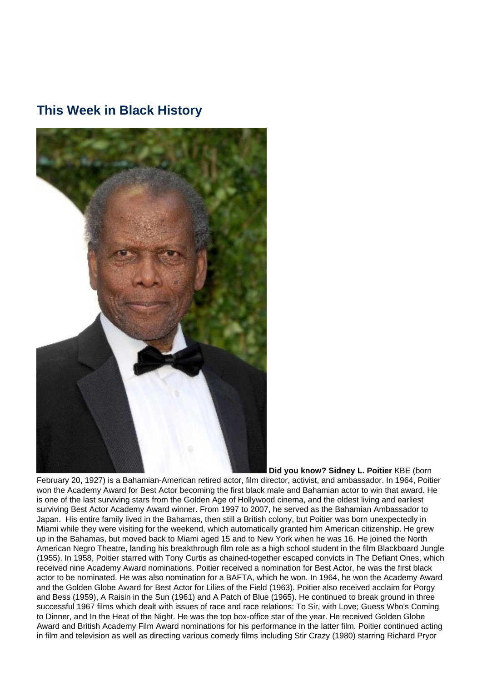### **This Week in Black History**



 **Did you know? Sidney L. Poitier** KBE (born

February 20, 1927) is a Bahamian-American retired actor, film director, activist, and ambassador. In 1964, Poitier won the Academy Award for Best Actor becoming the first black male and Bahamian actor to win that award. He is one of the last surviving stars from the Golden Age of Hollywood cinema, and the oldest living and earliest surviving Best Actor Academy Award winner. From 1997 to 2007, he served as the Bahamian Ambassador to Japan. His entire family lived in the Bahamas, then still a British colony, but Poitier was born unexpectedly in Miami while they were visiting for the weekend, which automatically granted him American citizenship. He grew up in the Bahamas, but moved back to Miami aged 15 and to New York when he was 16. He joined the North American Negro Theatre, landing his breakthrough film role as a high school student in the film Blackboard Jungle (1955). In 1958, Poitier starred with Tony Curtis as chained-together escaped convicts in The Defiant Ones, which received nine Academy Award nominations. Poitier received a nomination for Best Actor, he was the first black actor to be nominated. He was also nomination for a BAFTA, which he won. In 1964, he won the Academy Award and the Golden Globe Award for Best Actor for Lilies of the Field (1963). Poitier also received acclaim for Porgy and Bess (1959), A Raisin in the Sun (1961) and A Patch of Blue (1965). He continued to break ground in three successful 1967 films which dealt with issues of race and race relations: To Sir, with Love; Guess Who's Coming to Dinner, and In the Heat of the Night. He was the top box-office star of the year. He received Golden Globe Award and British Academy Film Award nominations for his performance in the latter film. Poitier continued acting in film and television as well as directing various comedy films including Stir Crazy (1980) starring Richard Pryor